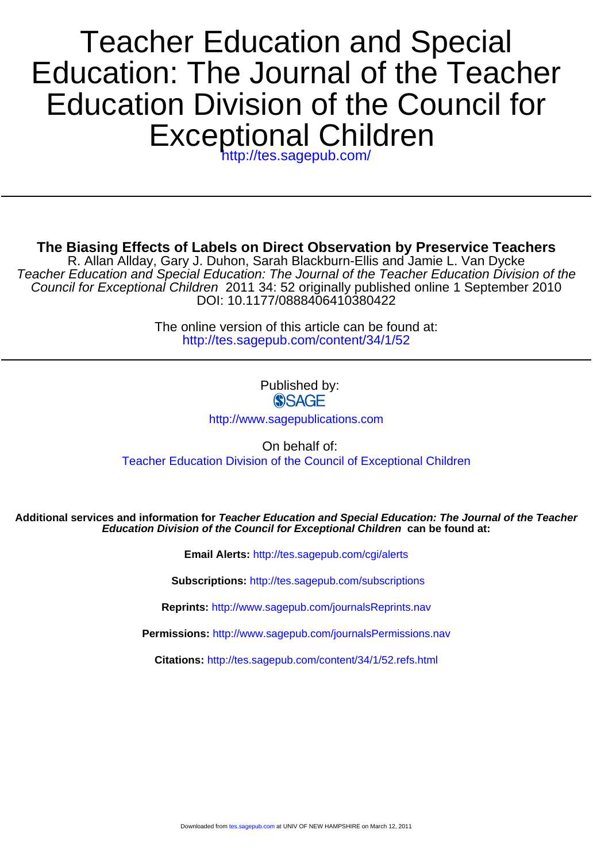# Exceptional Children Education Division of the Council for Education: The Journal of the Teacher Teacher Education and Special

<http://tes.sagepub.com/>

**The Biasing Effects of Labels on Direct Observation by Preservice Teachers**

DOI: 10.1177/0888406410380422 Council for Exceptional Children 2011 34: 52 originally published online 1 September 2010 Teacher Education and Special Education: The Journal of the Teacher Education Division of the R. Allan Allday, Gary J. Duhon, Sarah Blackburn-Ellis and Jamie L. Van Dycke

> <http://tes.sagepub.com/content/34/1/52> The online version of this article can be found at:

> > Published by: **SSAGE**

<http://www.sagepublications.com>

On behalf of: Teacher Education Division of the Council of Exceptional Children

**Education Division of the Council for Exceptional Children can be found at: Additional services and information for Teacher Education and Special Education: The Journal of the Teacher**

**Email Alerts:** <http://tes.sagepub.com/cgi/alerts>

**Subscriptions:** <http://tes.sagepub.com/subscriptions>

**Reprints:** <http://www.sagepub.com/journalsReprints.nav>

**Permissions:** <http://www.sagepub.com/journalsPermissions.nav>

**Citations:** <http://tes.sagepub.com/content/34/1/52.refs.html>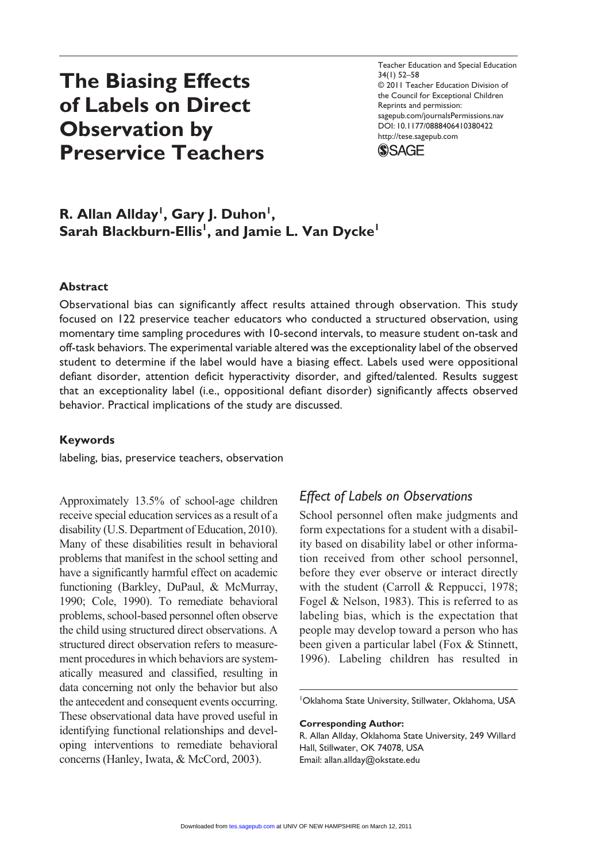# **The Biasing Effects of Labels on Direct Observation by Preservice Teachers**

Teacher Education and Special Education 34(1) 52–58 © 2011 Teacher Education Division of the Council for Exceptional Children Reprints and permission: sagepub.com/journalsPermissions.nav DOI: 10.1177/0888406410380422 http://tese.sagepub.com



# **R. Allan Allday<sup>1</sup>, Gary J. Duhon<sup>1</sup>, Sarah Blackburn-Ellis1 , and Jamie L. Van Dycke1**

#### **Abstract**

Observational bias can significantly affect results attained through observation. This study focused on 122 preservice teacher educators who conducted a structured observation, using momentary time sampling procedures with 10-second intervals, to measure student on-task and off-task behaviors. The experimental variable altered was the exceptionality label of the observed student to determine if the label would have a biasing effect. Labels used were oppositional defiant disorder, attention deficit hyperactivity disorder, and gifted/talented. Results suggest that an exceptionality label (i.e., oppositional defiant disorder) significantly affects observed behavior. Practical implications of the study are discussed.

#### **Keywords**

labeling, bias, preservice teachers, observation

Approximately 13.5% of school-age children receive special education services as a result of a disability (U.S. Department of Education, 2010). Many of these disabilities result in behavioral problems that manifest in the school setting and have a significantly harmful effect on academic functioning (Barkley, DuPaul, & McMurray, 1990; Cole, 1990). To remediate behavioral problems, school-based personnel often observe the child using structured direct observations. A structured direct observation refers to measurement procedures in which behaviors are systematically measured and classified, resulting in data concerning not only the behavior but also the antecedent and consequent events occurring. These observational data have proved useful in identifying functional relationships and developing interventions to remediate behavioral concerns (Hanley, Iwata, & McCord, 2003).

### *Effect of Labels on Observations*

School personnel often make judgments and form expectations for a student with a disability based on disability label or other information received from other school personnel, before they ever observe or interact directly with the student (Carroll & Reppucci, 1978; Fogel & Nelson, 1983). This is referred to as labeling bias, which is the expectation that people may develop toward a person who has been given a particular label (Fox & Stinnett, 1996). Labeling children has resulted in

1 Oklahoma State University, Stillwater, Oklahoma, USA

**Corresponding Author:**

R. Allan Allday, Oklahoma State University, 249 Willard Hall, Stillwater, OK 74078, USA Email: allan.allday@okstate.edu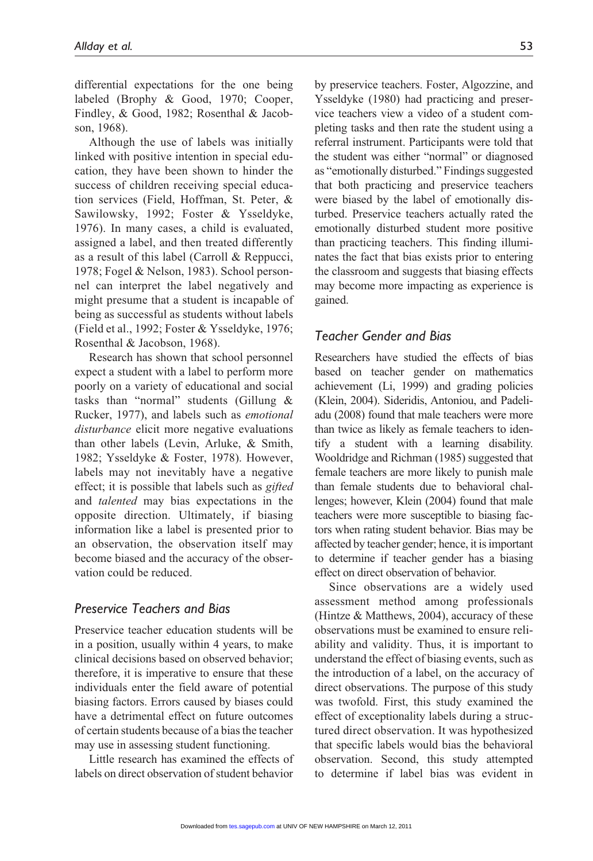differential expectations for the one being labeled (Brophy & Good, 1970; Cooper, Findley, & Good, 1982; Rosenthal & Jacobson, 1968).

Although the use of labels was initially linked with positive intention in special education, they have been shown to hinder the success of children receiving special education services (Field, Hoffman, St. Peter, & Sawilowsky, 1992; Foster & Ysseldyke, 1976). In many cases, a child is evaluated, assigned a label, and then treated differently as a result of this label (Carroll & Reppucci, 1978; Fogel & Nelson, 1983). School personnel can interpret the label negatively and might presume that a student is incapable of being as successful as students without labels (Field et al., 1992; Foster & Ysseldyke, 1976; Rosenthal & Jacobson, 1968).

Research has shown that school personnel expect a student with a label to perform more poorly on a variety of educational and social tasks than "normal" students (Gillung & Rucker, 1977), and labels such as *emotional disturbance* elicit more negative evaluations than other labels (Levin, Arluke, & Smith, 1982; Ysseldyke & Foster, 1978). However, labels may not inevitably have a negative effect; it is possible that labels such as *gifted*  and *talented* may bias expectations in the opposite direction. Ultimately, if biasing information like a label is presented prior to an observation, the observation itself may become biased and the accuracy of the observation could be reduced.

#### *Preservice Teachers and Bias*

Preservice teacher education students will be in a position, usually within 4 years, to make clinical decisions based on observed behavior; therefore, it is imperative to ensure that these individuals enter the field aware of potential biasing factors. Errors caused by biases could have a detrimental effect on future outcomes of certain students because of a bias the teacher may use in assessing student functioning.

Little research has examined the effects of labels on direct observation of student behavior by preservice teachers. Foster, Algozzine, and Ysseldyke (1980) had practicing and preservice teachers view a video of a student completing tasks and then rate the student using a referral instrument. Participants were told that the student was either "normal" or diagnosed as "emotionally disturbed." Findings suggested that both practicing and preservice teachers were biased by the label of emotionally disturbed. Preservice teachers actually rated the emotionally disturbed student more positive than practicing teachers. This finding illuminates the fact that bias exists prior to entering the classroom and suggests that biasing effects may become more impacting as experience is gained.

## *Teacher Gender and Bias*

Researchers have studied the effects of bias based on teacher gender on mathematics achievement (Li, 1999) and grading policies (Klein, 2004). Sideridis, Antoniou, and Padeliadu (2008) found that male teachers were more than twice as likely as female teachers to identify a student with a learning disability. Wooldridge and Richman (1985) suggested that female teachers are more likely to punish male than female students due to behavioral challenges; however, Klein (2004) found that male teachers were more susceptible to biasing factors when rating student behavior. Bias may be affected by teacher gender; hence, it is important to determine if teacher gender has a biasing effect on direct observation of behavior.

Since observations are a widely used assessment method among professionals (Hintze & Matthews, 2004), accuracy of these observations must be examined to ensure reliability and validity. Thus, it is important to understand the effect of biasing events, such as the introduction of a label, on the accuracy of direct observations. The purpose of this study was twofold. First, this study examined the effect of exceptionality labels during a structured direct observation. It was hypothesized that specific labels would bias the behavioral observation. Second, this study attempted to determine if label bias was evident in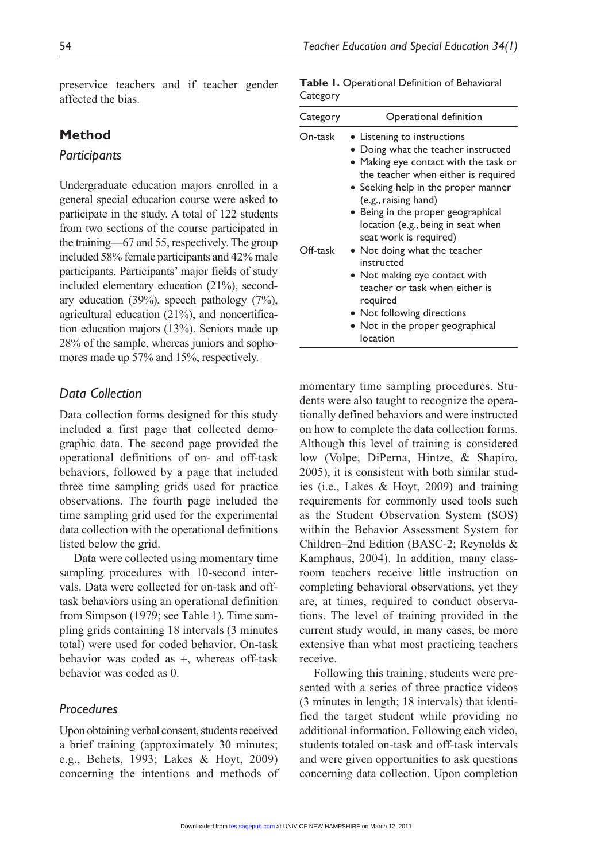preservice teachers and if teacher gender affected the bias.

# **Method**

#### *Participants*

Undergraduate education majors enrolled in a general special education course were asked to participate in the study. A total of 122 students from two sections of the course participated in the training—67 and 55, respectively. The group included 58% female participants and 42% male participants. Participants' major fields of study included elementary education (21%), secondary education (39%), speech pathology (7%), agricultural education (21%), and noncertification education majors (13%). Seniors made up 28% of the sample, whereas juniors and sophomores made up 57% and 15%, respectively.

#### *Data Collection*

Data collection forms designed for this study included a first page that collected demographic data. The second page provided the operational definitions of on- and off-task behaviors, followed by a page that included three time sampling grids used for practice observations. The fourth page included the time sampling grid used for the experimental data collection with the operational definitions listed below the grid.

Data were collected using momentary time sampling procedures with 10-second intervals. Data were collected for on-task and offtask behaviors using an operational definition from Simpson (1979; see Table 1). Time sampling grids containing 18 intervals (3 minutes total) were used for coded behavior. On-task behavior was coded as +, whereas off-task behavior was coded as 0.

#### *Procedures*

Upon obtaining verbal consent, students received a brief training (approximately 30 minutes; e.g., Behets, 1993; Lakes & Hoyt, 2009) concerning the intentions and methods of

|          | Table I. Operational Definition of Behavioral |  |
|----------|-----------------------------------------------|--|
| Category |                                               |  |

| Category | Operational definition                                                                                                                                                                                                                                                                        |  |  |
|----------|-----------------------------------------------------------------------------------------------------------------------------------------------------------------------------------------------------------------------------------------------------------------------------------------------|--|--|
| On-task  | • Listening to instructions<br>• Doing what the teacher instructed<br>• Making eye contact with the task or<br>the teacher when either is required<br>• Seeking help in the proper manner<br>(e.g., raising hand)<br>• Being in the proper geographical<br>location (e.g., being in seat when |  |  |
| Off-task | seat work is required)<br>• Not doing what the teacher<br>instructed<br>• Not making eye contact with<br>teacher or task when either is<br>required<br>• Not following directions<br>• Not in the proper geographical                                                                         |  |  |

momentary time sampling procedures. Students were also taught to recognize the operationally defined behaviors and were instructed on how to complete the data collection forms. Although this level of training is considered low (Volpe, DiPerna, Hintze, & Shapiro, 2005), it is consistent with both similar studies (i.e., Lakes & Hoyt, 2009) and training requirements for commonly used tools such as the Student Observation System (SOS) within the Behavior Assessment System for Children–2nd Edition (BASC-2; Reynolds & Kamphaus, 2004). In addition, many classroom teachers receive little instruction on completing behavioral observations, yet they are, at times, required to conduct observations. The level of training provided in the current study would, in many cases, be more extensive than what most practicing teachers receive.

Following this training, students were presented with a series of three practice videos (3 minutes in length; 18 intervals) that identified the target student while providing no additional information. Following each video, students totaled on-task and off-task intervals and were given opportunities to ask questions concerning data collection. Upon completion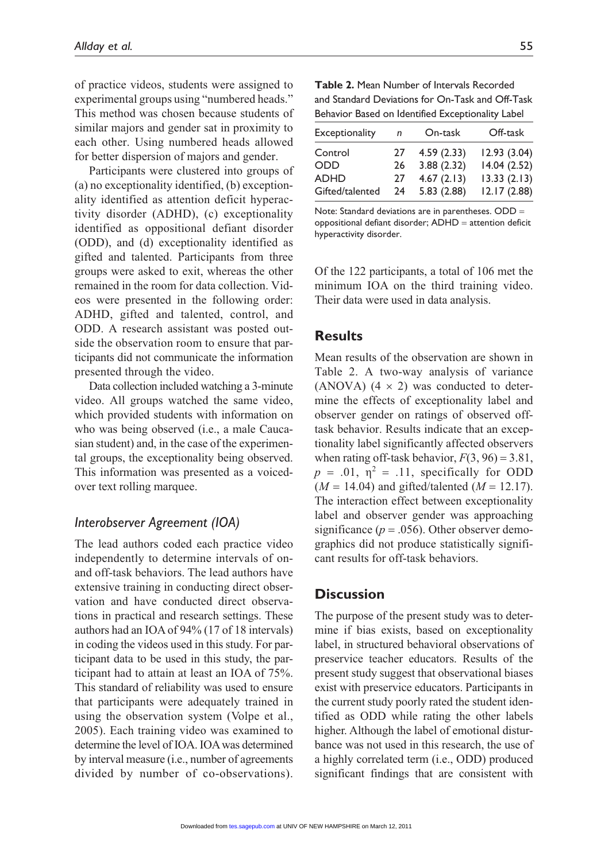of practice videos, students were assigned to experimental groups using "numbered heads." This method was chosen because students of similar majors and gender sat in proximity to each other. Using numbered heads allowed for better dispersion of majors and gender.

Participants were clustered into groups of (a) no exceptionality identified, (b) exceptionality identified as attention deficit hyperactivity disorder (ADHD), (c) exceptionality identified as oppositional defiant disorder (ODD), and (d) exceptionality identified as gifted and talented. Participants from three groups were asked to exit, whereas the other remained in the room for data collection. Videos were presented in the following order: ADHD, gifted and talented, control, and ODD. A research assistant was posted outside the observation room to ensure that participants did not communicate the information presented through the video.

Data collection included watching a 3-minute video. All groups watched the same video, which provided students with information on who was being observed (i.e., a male Caucasian student) and, in the case of the experimental groups, the exceptionality being observed. This information was presented as a voicedover text rolling marquee.

#### *Interobserver Agreement (IOA)*

The lead authors coded each practice video independently to determine intervals of onand off-task behaviors. The lead authors have extensive training in conducting direct observation and have conducted direct observations in practical and research settings. These authors had an IOA of 94% (17 of 18 intervals) in coding the videos used in this study. For participant data to be used in this study, the participant had to attain at least an IOA of 75%. This standard of reliability was used to ensure that participants were adequately trained in using the observation system (Volpe et al., 2005). Each training video was examined to determine the level of IOA. IOA was determined by interval measure (i.e., number of agreements divided by number of co-observations).

| <b>Table 2.</b> Mean Number of Intervals Recorded |
|---------------------------------------------------|
| and Standard Deviations for On-Task and Off-Task  |
| Behavior Based on Identified Exceptionality Label |

| Exceptionality  | n  | On-task    | Off-task    |
|-----------------|----|------------|-------------|
| Control         | 27 | 4.59(2.33) | 12.93(3.04) |
| ODD             | 26 | 3.88(2.32) | 14.04(2.52) |
| <b>ADHD</b>     | 27 | 4.67(2.13) | 13.33(2.13) |
| Gifted/talented | 24 | 5.83(2.88) | 12.17(2.88) |

Note: Standard deviations are in parentheses. ODD = oppositional defiant disorder; ADHD = attention deficit hyperactivity disorder.

Of the 122 participants, a total of 106 met the minimum IOA on the third training video. Their data were used in data analysis.

# **Results**

Mean results of the observation are shown in Table 2. A two-way analysis of variance (ANOVA)  $(4 \times 2)$  was conducted to determine the effects of exceptionality label and observer gender on ratings of observed offtask behavior. Results indicate that an exceptionality label significantly affected observers when rating off-task behavior,  $F(3, 96) = 3.81$ ,  $p = .01$ ,  $\eta^2 = .11$ , specifically for ODD  $(M = 14.04)$  and gifted/talented  $(M = 12.17)$ . The interaction effect between exceptionality label and observer gender was approaching significance ( $p = .056$ ). Other observer demographics did not produce statistically significant results for off-task behaviors.

# **Discussion**

The purpose of the present study was to determine if bias exists, based on exceptionality label, in structured behavioral observations of preservice teacher educators. Results of the present study suggest that observational biases exist with preservice educators. Participants in the current study poorly rated the student identified as ODD while rating the other labels higher. Although the label of emotional disturbance was not used in this research, the use of a highly correlated term (i.e., ODD) produced significant findings that are consistent with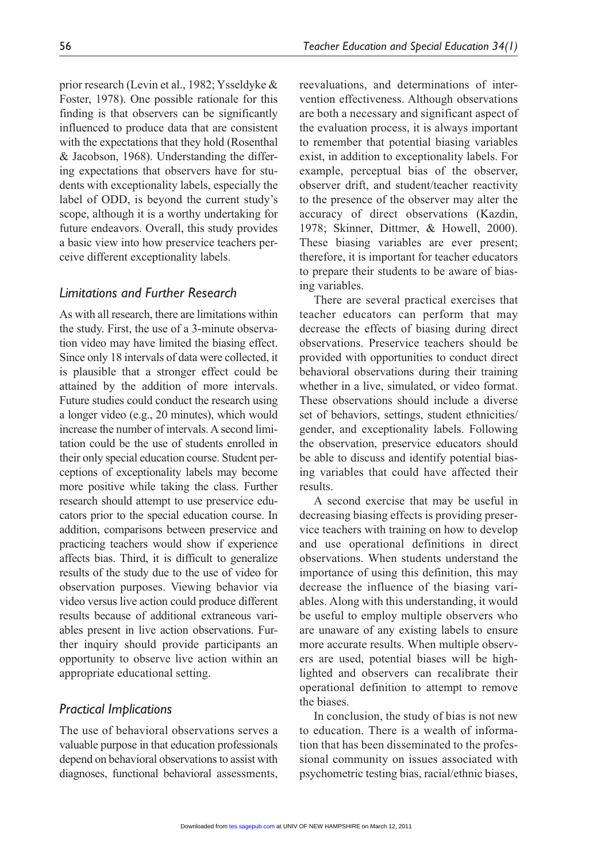prior research (Levin et al., 1982; Ysseldyke & Foster, 1978). One possible rationale for this finding is that observers can be significantly influenced to produce data that are consistent with the expectations that they hold (Rosenthal & Jacobson, 1968). Understanding the differing expectations that observers have for students with exceptionality labels, especially the label of ODD, is beyond the current study's scope, although it is a worthy undertaking for future endeavors. Overall, this study provides a basic view into how preservice teachers perceive different exceptionality labels.

# *Limitations and Further Research*

As with all research, there are limitations within the study. First, the use of a 3-minute observation video may have limited the biasing effect. Since only 18 intervals of data were collected, it is plausible that a stronger effect could be attained by the addition of more intervals. Future studies could conduct the research using a longer video (e.g., 20 minutes), which would increase the number of intervals. A second limitation could be the use of students enrolled in their only special education course. Student perceptions of exceptionality labels may become more positive while taking the class. Further research should attempt to use preservice educators prior to the special education course. In addition, comparisons between preservice and practicing teachers would show if experience affects bias. Third, it is difficult to generalize results of the study due to the use of video for observation purposes. Viewing behavior via video versus live action could produce different results because of additional extraneous variables present in live action observations. Further inquiry should provide participants an opportunity to observe live action within an appropriate educational setting.

#### *Practical Implications*

The use of behavioral observations serves a valuable purpose in that education professionals depend on behavioral observations to assist with diagnoses, functional behavioral assessments,

reevaluations, and determinations of intervention effectiveness. Although observations are both a necessary and significant aspect of the evaluation process, it is always important to remember that potential biasing variables exist, in addition to exceptionality labels. For example, perceptual bias of the observer, observer drift, and student/teacher reactivity to the presence of the observer may alter the accuracy of direct observations (Kazdin, 1978; Skinner, Dittmer, & Howell, 2000). These biasing variables are ever present; therefore, it is important for teacher educators to prepare their students to be aware of biasing variables.

There are several practical exercises that teacher educators can perform that may decrease the effects of biasing during direct observations. Preservice teachers should be provided with opportunities to conduct direct behavioral observations during their training whether in a live, simulated, or video format. These observations should include a diverse set of behaviors, settings, student ethnicities/ gender, and exceptionality labels. Following the observation, preservice educators should be able to discuss and identify potential biasing variables that could have affected their results.

A second exercise that may be useful in decreasing biasing effects is providing preservice teachers with training on how to develop and use operational definitions in direct observations. When students understand the importance of using this definition, this may decrease the influence of the biasing variables. Along with this understanding, it would be useful to employ multiple observers who are unaware of any existing labels to ensure more accurate results. When multiple observers are used, potential biases will be highlighted and observers can recalibrate their operational definition to attempt to remove the biases.

In conclusion, the study of bias is not new to education. There is a wealth of information that has been disseminated to the professional community on issues associated with psychometric testing bias, racial/ethnic biases,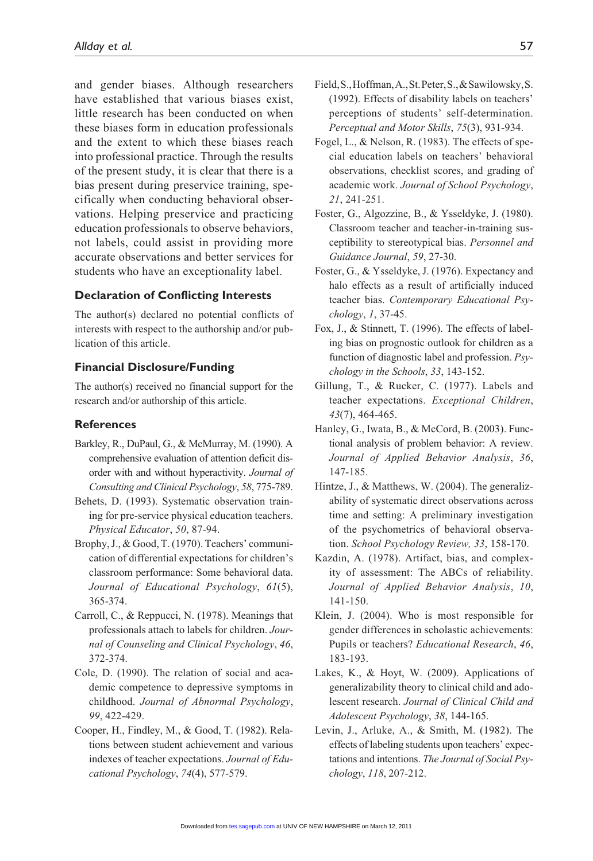and gender biases. Although researchers have established that various biases exist, little research has been conducted on when these biases form in education professionals and the extent to which these biases reach into professional practice. Through the results of the present study, it is clear that there is a bias present during preservice training, specifically when conducting behavioral observations. Helping preservice and practicing education professionals to observe behaviors, not labels, could assist in providing more accurate observations and better services for students who have an exceptionality label.

#### **Declaration of Conflicting Interests**

The author(s) declared no potential conflicts of interests with respect to the authorship and/or publication of this article.

#### **Financial Disclosure/Funding**

The author(s) received no financial support for the research and/or authorship of this article.

#### **References**

- Barkley, R., DuPaul, G., & McMurray, M. (1990). A comprehensive evaluation of attention deficit disorder with and without hyperactivity. *Journal of Consulting and Clinical Psychology*, *58*, 775-789.
- Behets, D. (1993). Systematic observation training for pre-service physical education teachers. *Physical Educator*, *50*, 87-94.
- Brophy, J., & Good, T. (1970). Teachers' communication of differential expectations for children's classroom performance: Some behavioral data. *Journal of Educational Psychology*, *61*(5), 365-374.
- Carroll, C., & Reppucci, N. (1978). Meanings that professionals attach to labels for children. *Journal of Counseling and Clinical Psychology*, *46*, 372-374.
- Cole, D. (1990). The relation of social and academic competence to depressive symptoms in childhood. *Journal of Abnormal Psychology*, *99*, 422-429.
- Cooper, H., Findley, M., & Good, T. (1982). Relations between student achievement and various indexes of teacher expectations. *Journal of Educational Psychology*, *74*(4), 577-579.
- Field, S., Hoffman, A., St. Peter, S., & Sawilowsky, S. (1992). Effects of disability labels on teachers' perceptions of students' self-determination. *Perceptual and Motor Skills*, *75*(3), 931-934.
- Fogel, L., & Nelson, R. (1983). The effects of special education labels on teachers' behavioral observations, checklist scores, and grading of academic work. *Journal of School Psychology*, *21*, 241-251.
- Foster, G., Algozzine, B., & Ysseldyke, J. (1980). Classroom teacher and teacher-in-training susceptibility to stereotypical bias. *Personnel and Guidance Journal*, *59*, 27-30.
- Foster, G., & Ysseldyke, J. (1976). Expectancy and halo effects as a result of artificially induced teacher bias. *Contemporary Educational Psychology*, *1*, 37-45.
- Fox, J., & Stinnett, T. (1996). The effects of labeling bias on prognostic outlook for children as a function of diagnostic label and profession. *Psychology in the Schools*, *33*, 143-152.
- Gillung, T., & Rucker, C. (1977). Labels and teacher expectations. *Exceptional Children*, *43*(7), 464-465.
- Hanley, G., Iwata, B., & McCord, B. (2003). Functional analysis of problem behavior: A review. *Journal of Applied Behavior Analysis*, *36*, 147-185.
- Hintze, J., & Matthews, W. (2004). The generalizability of systematic direct observations across time and setting: A preliminary investigation of the psychometrics of behavioral observation. *School Psychology Review, 33*, 158-170.
- Kazdin, A. (1978). Artifact, bias, and complexity of assessment: The ABCs of reliability. *Journal of Applied Behavior Analysis*, *10*, 141-150.
- Klein, J. (2004). Who is most responsible for gender differences in scholastic achievements: Pupils or teachers? *Educational Research*, *46*, 183-193.
- Lakes, K., & Hoyt, W. (2009). Applications of generalizability theory to clinical child and adolescent research. *Journal of Clinical Child and Adolescent Psychology*, *38*, 144-165.
- Levin, J., Arluke, A., & Smith, M. (1982). The effects of labeling students upon teachers' expectations and intentions. *The Journal of Social Psychology*, *118*, 207-212.